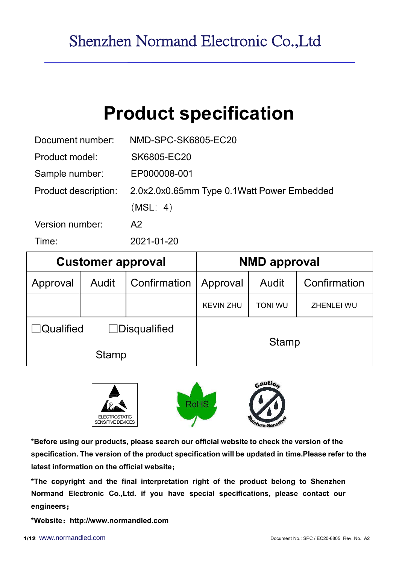# Product specification

| Time:                       | 2021-01-20                 |                                            |
|-----------------------------|----------------------------|--------------------------------------------|
| Version number:             | A2                         |                                            |
|                             | (MSL: 4)                   |                                            |
| <b>Product description:</b> |                            | 2.0x2.0x0.65mm Type 0.1Watt Power Embedded |
| Sample number:              | EP000008-001               |                                            |
| Product model:              | SK6805-EC20                |                                            |
| Document number:            | <b>NMD-SPC-SK6805-EC20</b> |                                            |

|                  | <b>Customer approval</b> |                     |                  | <b>NMD approval</b> |                   |  |  |  |  |
|------------------|--------------------------|---------------------|------------------|---------------------|-------------------|--|--|--|--|
| Approval         | <b>Audit</b>             | Confirmation        | Approval         | Audit               | Confirmation      |  |  |  |  |
|                  |                          |                     | <b>KEVIN ZHU</b> | <b>TONI WU</b>      | <b>ZHENLEI WU</b> |  |  |  |  |
| $\Box$ Qualified |                          | $\Box$ Disqualified |                  | <b>Stamp</b>        |                   |  |  |  |  |
|                  | <b>Stamp</b>             |                     |                  |                     |                   |  |  |  |  |



\*Before using our products, please search our official website to check the version of the specification. The version of the product specification will be updated in time.Please refer to the latest information on the official website;

\*The copyright and the final interpretation right of the product belong to Shenzhen Normand Electronic Co.,Ltd. if you have special specifications, please contact our engineers;

\*Website: http://www.normandled.com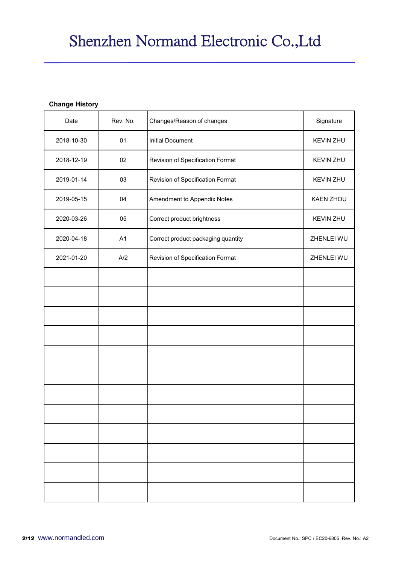#### Change History

|                       |          | Shenzhen Normand Electronic Co., Ltd |                  |
|-----------------------|----------|--------------------------------------|------------------|
|                       |          |                                      |                  |
| <b>Change History</b> |          |                                      |                  |
| Date                  | Rev. No. | Changes/Reason of changes            | Signature        |
| 2018-10-30            | 01       | <b>Initial Document</b>              | KEVIN ZHU        |
| 2018-12-19            | 02       | Revision of Specification Format     | <b>KEVIN ZHU</b> |
| 2019-01-14            | 03       | Revision of Specification Format     | KEVIN ZHU        |
| 2019-05-15            | 04       | Amendment to Appendix Notes          | KAEN ZHOU        |
| 2020-03-26            | 05       | Correct product brightness           | <b>KEVIN ZHU</b> |
| 2020-04-18            | A1       | Correct product packaging quantity   | ZHENLEI WU       |
| 2021-01-20            | A/2      | Revision of Specification Format     | ZHENLEI WU       |
|                       |          |                                      |                  |
|                       |          |                                      |                  |
|                       |          |                                      |                  |
|                       |          |                                      |                  |
|                       |          |                                      |                  |
|                       |          |                                      |                  |
|                       |          |                                      |                  |
|                       |          |                                      |                  |
|                       |          |                                      |                  |
|                       |          |                                      |                  |
|                       |          |                                      |                  |
|                       |          |                                      |                  |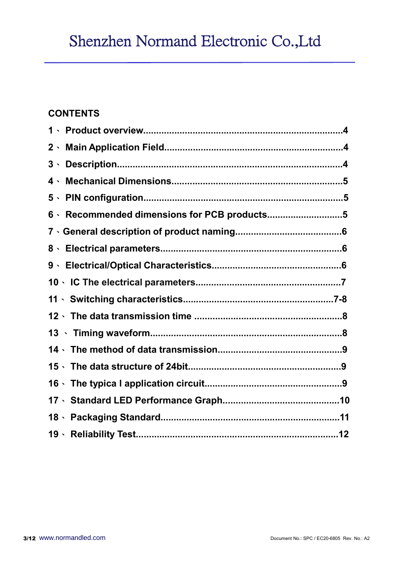## Shenzhen Normand Electronic Co.,Ltd

### **CONTENTS**

| 6 · Recommended dimensions for PCB products5 |  |
|----------------------------------------------|--|
|                                              |  |
|                                              |  |
|                                              |  |
|                                              |  |
|                                              |  |
|                                              |  |
|                                              |  |
|                                              |  |
|                                              |  |
|                                              |  |
|                                              |  |
|                                              |  |
|                                              |  |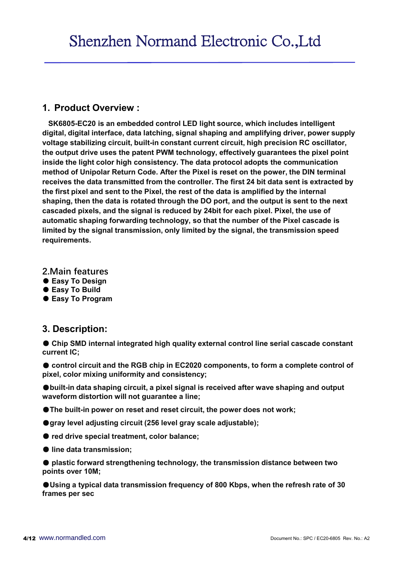1. Product Overview : SK6805-EC20 is an embedded control LED light source, which includes intelligent digital, digital interface, data latching, signal shaping and amplifying driver, power supply voltage stabilizing circuit, built-in constant current circuit, high precision RC oscillator, the output drive uses the patent PWM technology, effectively guarantees the pixel point inside the light color high consistency. The data protocol adopts the communication method of Unipolar Return Code. After the Pixel is reset on the power, the DIN terminal receives the data transmitted from the controller. The first 24 bit data sent is extracted by the first pixel and sent to the Pixel, the rest of the data is amplified by the internal shaping, then the data is rotated through the DO port, and the output is sent to the next cascaded pixels, and the signal is reduced by 24bit for each pixel. Pixel, the use of automatic shaping forwarding technology, so that the number of the Pixel cascade is limited by the signal transmission, only limited by the signal, the transmission speed requirements. Inside the light color high consistency. The data protocol adopts<br>
inside the light color high consistency. The data protocol adopts<br>
method of Unipolar Return Code. After the Pixel is reset on the po<br>
receives the data t method of Unipolar Return Code. After the Pixel is reset on the power, the DIN terminal<br>
receives the data transmitted from the controller. The first 24 bit data sent is extracted by<br>
the first pixel and sent to the Pixel the rist pixel and sent to the Pixel, the rest of the data is amplified by the interarial<br>shaping, then the data is rotated through the DO port, and the output is sent to the next<br>cascaded pixels, and the signal is reduce

- 2.Main features
- Easy To Design
- Easy To Build
- Easy To Program

current IC;

pixel, color mixing uniformity and consistency;

●built-in data shaping circuit, a pixel signal is received after wave shaping and output waveform distortion will not guarantee a line;

- ●The built-in power on reset and reset circuit, the power does not work;
- gray level adjusting circuit (256 level gray scale adjustable);
- red drive special treatment, color balance;
- line data transmission;

● plastic forward strengthening technology, the transmission distance between two points over 10M;

●Using a typical data transmission frequency of 800 Kbps, when the refresh rate of 30 frames per sec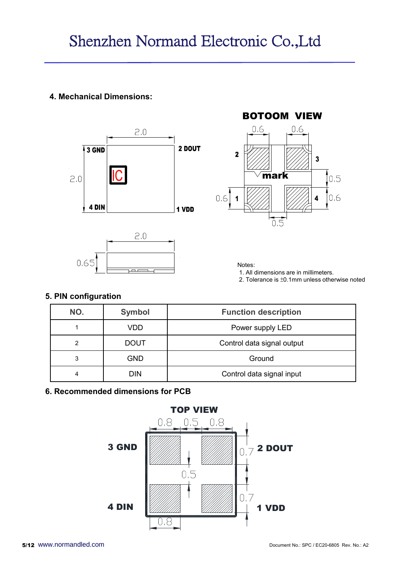





### 5. PIN configuration

| 3 GND<br>2.0<br>4 DIN       | IC            | 2 DOUT<br>1 VDD | $\overline{2}$<br>3<br>mark<br>[0.5]<br>0.6<br>0.6<br>4<br>$\overline{0.5}$                      |  |
|-----------------------------|---------------|-----------------|--------------------------------------------------------------------------------------------------|--|
|                             | 2.0           |                 |                                                                                                  |  |
| 0.65                        | عبصا          |                 | Notes:<br>1. All dimensions are in millimeters.<br>2. Tolerance is ±0.1mm unless otherwise noted |  |
| 5. PIN configuration<br>NO. | <b>Symbol</b> |                 | <b>Function description</b>                                                                      |  |
| $\mathbf{1}$                | <b>VDD</b>    |                 | Power supply LED                                                                                 |  |
| $\overline{2}$              | <b>DOUT</b>   |                 | Control data signal output                                                                       |  |
| 3                           | <b>GND</b>    |                 | Ground                                                                                           |  |

### 6. Recommended dimensions for PCB

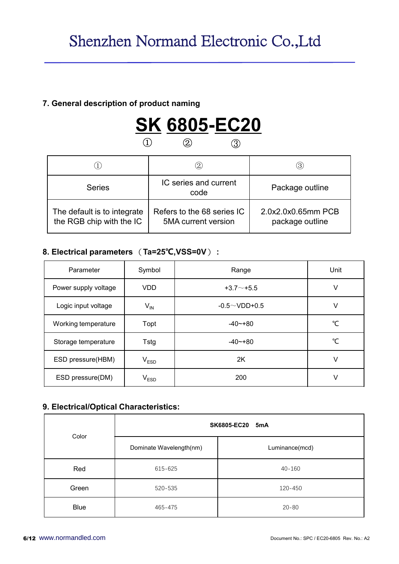### 7. General description of product naming



|                                                         |                  |                 | Shenzhen Normand Electronic Co., Ltd                     |                 |                                       |  |
|---------------------------------------------------------|------------------|-----------------|----------------------------------------------------------|-----------------|---------------------------------------|--|
|                                                         |                  |                 |                                                          |                 |                                       |  |
| 7. General description of product naming                |                  |                 |                                                          |                 |                                       |  |
|                                                         | $\left(1\right)$ |                 | <b>SK 6805-EC20</b><br>$\circledZ$<br>$\circled{3}$      |                 |                                       |  |
| $\textcircled{1}$                                       |                  | $\circled{2}$   |                                                          | $\circled{3}$   |                                       |  |
| <b>Series</b>                                           |                  |                 | IC series and current<br>code                            | Package outline |                                       |  |
| The default is to integrate<br>the RGB chip with the IC |                  |                 | Refers to the 68 series IC<br><b>5MA</b> current version |                 | 2.0x2.0x0.65mm PCB<br>package outline |  |
| 8. Electrical parameters (Ta=25°C,VSS=0V):              |                  |                 |                                                          |                 |                                       |  |
| Parameter                                               |                  | Symbol          | Range                                                    |                 | Unit                                  |  |
| Power supply voltage                                    |                  | <b>VDD</b>      | $+3.7 - +5.5$                                            |                 | $\vee$                                |  |
| Logic input voltage                                     |                  | $V_{\text{IN}}$ | $-0.5 \sim$ VDD+0.5                                      |                 | $\vee$                                |  |
| Working temperature                                     |                  | Topt            | $-40 - +80$                                              |                 | $\mathrm{C}$                          |  |

|                                            |                                                                                                                           | $\circled{2}$                 | $\circled{3}$   |              |
|--------------------------------------------|---------------------------------------------------------------------------------------------------------------------------|-------------------------------|-----------------|--------------|
| <b>Series</b>                              |                                                                                                                           | IC series and current<br>code | Package outline |              |
| the RGB chip with the IC                   | 2.0x2.0x0.65mm PCB<br>The default is to integrate<br>Refers to the 68 series IC<br>5MA current version<br>package outline |                               |                 |              |
| 8. Electrical parameters (Ta=25°C,VSS=0V): |                                                                                                                           |                               |                 |              |
| Parameter                                  | Symbol                                                                                                                    | Range                         | Unit            |              |
| Power supply voltage                       | <b>VDD</b>                                                                                                                | $+3.7 - +5.5$                 |                 | $\vee$       |
| Logic input voltage                        | $V_{IN}$                                                                                                                  | $-0.5 \sim$ VDD+0.5           |                 | $\vee$       |
|                                            |                                                                                                                           | $-40 - +80$                   |                 | $^{\circ}$ C |
| Working temperature                        | Topt                                                                                                                      |                               |                 |              |
| Storage temperature                        | <b>Tstg</b>                                                                                                               | $-40 - +80$                   |                 | $^{\circ}$ C |
| ESD pressure(HBM)                          | V <sub>ESD</sub>                                                                                                          | 2K                            |                 | $\sf V$      |

### 9. Electrical/Optical Characteristics:

| Logic input voltage                    | $V_{IN}$                |                           | $-0.5 \sim$ VDD+0.5 | $\vee$                                     |  |  |  |  |  |
|----------------------------------------|-------------------------|---------------------------|---------------------|--------------------------------------------|--|--|--|--|--|
| Working temperature                    | Topt                    |                           | $-40 - +80$         | $\mathrm{C}$                               |  |  |  |  |  |
| Storage temperature                    | Tstg                    |                           | $-40 - +80$         | $\mathrm{C}$                               |  |  |  |  |  |
| ESD pressure(HBM)                      | $V_{ESD}$               |                           | 2K                  | $\vee$                                     |  |  |  |  |  |
| ESD pressure(DM)                       | $V_{ESD}$               |                           | 200                 | $\vee$                                     |  |  |  |  |  |
| 9. Electrical/Optical Characteristics: |                         |                           |                     |                                            |  |  |  |  |  |
| Color                                  |                         | <b>SK6805-EC20</b><br>5mA |                     |                                            |  |  |  |  |  |
|                                        | Dominate Wavelength(nm) |                           | Luminance(mcd)      |                                            |  |  |  |  |  |
| Red                                    | 615-625                 |                           | $40 - 160$          |                                            |  |  |  |  |  |
| Green                                  | 520-535                 |                           | 120-450             |                                            |  |  |  |  |  |
| Blue                                   | 465-475                 |                           | $20 - 80$           |                                            |  |  |  |  |  |
| ww.normandled.com                      |                         |                           |                     | Document No.: SPC / EC20-6805 Rev. No.: A2 |  |  |  |  |  |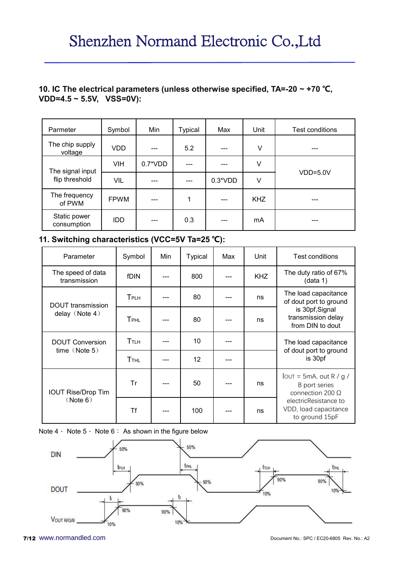### 10. IC The electrical parameters (unless otherwise specified, TA=-20  $\sim$  +70 °C,  $VDD=4.5 \sim 5.5V$ ,  $VSS=0V$ ):

|                                                  |             |             |           |                          |                         |                   |            | Shenzhen Normand Electronic Co., Ltd                                                |
|--------------------------------------------------|-------------|-------------|-----------|--------------------------|-------------------------|-------------------|------------|-------------------------------------------------------------------------------------|
| $VDD=4.5 \sim 5.5V, VSS=0V$ :                    |             |             |           |                          |                         |                   |            | 10. IC The electrical parameters (unless otherwise specified, TA=-20 $\sim$ +70 °C, |
| Parmeter                                         | Symbol      |             |           | Min                      | <b>Typical</b>          | Max               | Unit       | Test conditions                                                                     |
| The chip supply<br>voltage                       | <b>VDD</b>  |             |           | ---                      | 5.2                     | ---               | $\vee$     | ---                                                                                 |
|                                                  | <b>VIH</b>  |             | $0.7*VDD$ |                          | ---                     | ---               | V          |                                                                                     |
| The signal input<br>flip threshold               | VIL         |             |           | ---                      | $\qquad \qquad -\qquad$ | $0.3*VDD$         | V          | $VDD=5.0V$                                                                          |
| The frequency<br>of PWM                          | <b>FPWM</b> |             |           | ---                      | 1                       | ---               | <b>KHZ</b> |                                                                                     |
| Static power<br>consumption                      | <b>IDD</b>  |             |           | ---                      | 0.3                     | $\qquad \qquad -$ | mA         | ---                                                                                 |
| 11. Switching characteristics (VCC=5V Ta=25 °C): |             |             |           |                          |                         |                   |            |                                                                                     |
| Parameter                                        |             | Symbol      |           | Min                      | <b>Typical</b>          | Max               | Unit       | Test conditions                                                                     |
| The speed of data<br>transmission                |             | fDIN        |           | ---                      | 800                     | $---$             | <b>KHZ</b> | The duty ratio of 67%<br>(data 1)                                                   |
|                                                  |             | TPLH        |           | ---                      | 80                      | $---$             | ns         | The load capacitance<br>of dout port to ground                                      |
| <b>DOUT</b> transmission<br>delay (Note 4)       |             | <b>TPHL</b> |           | $\hspace{0.05cm} \ldots$ | 80                      | $---$             | ns         | is 30pf, Signal<br>transmission delay<br>from DIN to dout                           |
| <b>DOUT Conversion</b>                           |             | <b>TTLH</b> |           | ---                      | 10                      | ---               |            | The load capacitance                                                                |

| <b>VIH</b><br>VIL<br><b>FPWM</b> | $0.7*VDD$<br>$---$        | $\hspace{0.05cm}$ - $\hspace{0.05cm}$ - $\hspace{0.05cm}$                              | ---                       | $\vee$                                                             |                                                                        |  |
|----------------------------------|---------------------------|----------------------------------------------------------------------------------------|---------------------------|--------------------------------------------------------------------|------------------------------------------------------------------------|--|
|                                  |                           | $0.3*VDD$<br>$\overline{a}$                                                            | $VDD=5.0V$                |                                                                    |                                                                        |  |
|                                  |                           |                                                                                        |                           | V                                                                  |                                                                        |  |
|                                  | $\qquad \qquad -\qquad -$ | $\mathbf{1}$                                                                           | ---                       | <b>KHZ</b>                                                         | ---                                                                    |  |
| <b>IDD</b>                       | ---                       | 0.3                                                                                    | ---                       | mA                                                                 | ---                                                                    |  |
|                                  |                           |                                                                                        |                           |                                                                    |                                                                        |  |
|                                  |                           |                                                                                        | Max                       | Unit                                                               | Test conditions                                                        |  |
|                                  | ---                       | 800                                                                                    | ---                       | <b>KHZ</b>                                                         | The duty ratio of 67%<br>(data 1)                                      |  |
|                                  | $---$                     | 80                                                                                     | $---$                     | ns                                                                 | The load capacitance<br>of dout port to ground                         |  |
|                                  | ---                       | 80                                                                                     | ---                       | ns                                                                 | is 30pf, Signal<br>transmission delay<br>from DIN to dout              |  |
|                                  | $\qquad \qquad -\qquad -$ | 10                                                                                     | $---$                     |                                                                    | The load capacitance<br>of dout port to ground                         |  |
|                                  | $---$                     | 12                                                                                     | $\qquad \qquad -\qquad -$ |                                                                    | is 30pf                                                                |  |
|                                  | ---                       | 50                                                                                     | ---                       | ns                                                                 | $I$ OUT = 5mA, out R / g /<br>B port series<br>connection 200 $\Omega$ |  |
|                                  | $---$                     | 100                                                                                    | $---$                     | ns                                                                 | electricResistance to<br>VDD, load capacitance<br>to ground 15pF       |  |
|                                  |                           | Min<br>Symbol<br>fDIN<br>TPLH<br>TPHL<br>TTLH<br><b>TTHL</b><br><b>Tr</b><br><b>Tf</b> |                           | 11. Switching characteristics (VCC=5V Ta=25 °C):<br><b>Typical</b> |                                                                        |  |

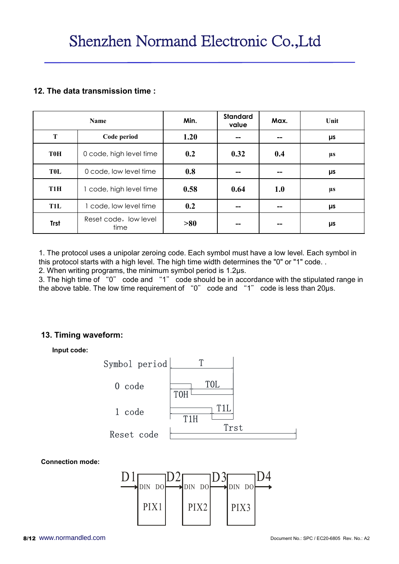### 12. The data transmission time :

|                  | Shenzhen Normand Electronic Co., Ltd                                                                                                                                                                                                                                                                                                                                                                                                                      |      |                          |                          |         |
|------------------|-----------------------------------------------------------------------------------------------------------------------------------------------------------------------------------------------------------------------------------------------------------------------------------------------------------------------------------------------------------------------------------------------------------------------------------------------------------|------|--------------------------|--------------------------|---------|
|                  | 12. The data transmission time:                                                                                                                                                                                                                                                                                                                                                                                                                           |      |                          |                          |         |
|                  | Name                                                                                                                                                                                                                                                                                                                                                                                                                                                      | Min. | <b>Standard</b><br>value | Max.                     | Unit    |
| T                | Code period                                                                                                                                                                                                                                                                                                                                                                                                                                               | 1.20 | --                       | $\overline{\phantom{a}}$ | μs      |
| <b>T0H</b>       | 0 code, high level time                                                                                                                                                                                                                                                                                                                                                                                                                                   | 0.2  | 0.32                     | 0.4                      | μs      |
| <b>TOL</b>       | 0 code, low level time                                                                                                                                                                                                                                                                                                                                                                                                                                    | 0.8  |                          | $\overline{\phantom{m}}$ | $\mu s$ |
| T <sub>1</sub> H | 1 code, high level time                                                                                                                                                                                                                                                                                                                                                                                                                                   | 0.58 | 0.64                     | 1.0                      | μs      |
| <b>T1L</b>       | 1 code, low level time                                                                                                                                                                                                                                                                                                                                                                                                                                    | 0.2  | --                       | $\overline{\phantom{a}}$ | μs      |
| <b>Trst</b>      | Reset code, low level<br>time                                                                                                                                                                                                                                                                                                                                                                                                                             | >80  | -−                       |                          | $\mu s$ |
|                  | 1. The protocol uses a unipolar zeroing code. Each symbol must have a low level. Each symbol in<br>this protocol starts with a high level. The high time width determines the "0" or "1" code<br>2. When writing programs, the minimum symbol period is 1.2µs.<br>3. The high time of "0" code and "1" code should be in accordance with the stipulated range in<br>the above table. The low time requirement of "0" code and "1" code is less than 20µs. |      |                          |                          |         |
|                  | 13. Timing waveform:                                                                                                                                                                                                                                                                                                                                                                                                                                      |      |                          |                          |         |
| Input code:      |                                                                                                                                                                                                                                                                                                                                                                                                                                                           |      |                          |                          |         |
|                  | Symbol period                                                                                                                                                                                                                                                                                                                                                                                                                                             | T    |                          |                          |         |



#### Connection mode:

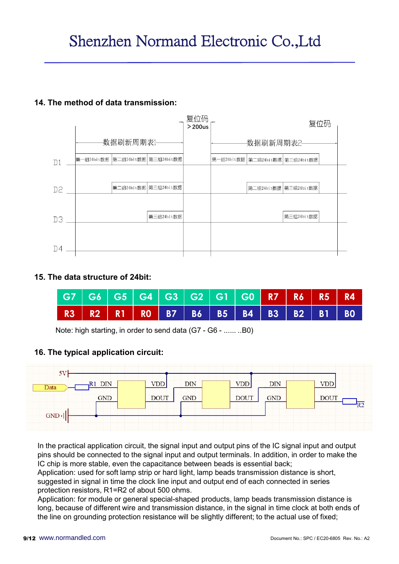

### 15. The data structure of 24bit:

|  |  |  | G7 G6 G5 G4 G3 G2 G1 G0 R7 R6 R5 R4                       |  |  |  |
|--|--|--|-----------------------------------------------------------|--|--|--|
|  |  |  | R3   R2   R1   R0   B7   B6   B5   B4   B3   B2   B1   B0 |  |  |  |

### 16. The typical application circuit:



In the practical application circuit, the signal input and output pins of the IC signal input and output pins should be connected to the signal input and output terminals. In addition, in order to make the IC chip is more stable, even the capacitance between beads is essential back;

Application: used for soft lamp strip or hard light, lamp beads transmission distance is short, suggested in signal in time the clock line input and output end of each connected in series protection resistors, R1=R2 of about 500 ohms.

Application: for module or general special-shaped products, lamp beads transmission distance is long, because of different wire and transmission distance, in the signal in time clock at both ends of the line on grounding protection resistance will be slightly different; to the actual use of fixed;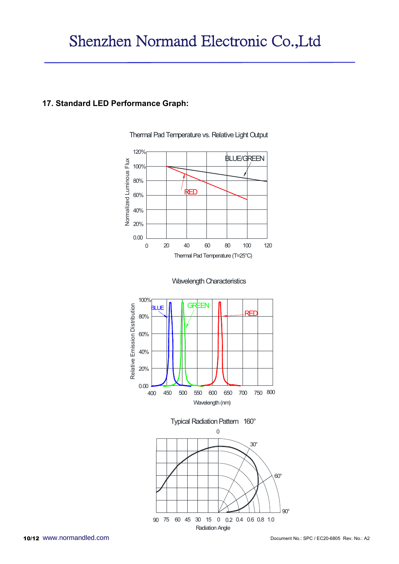#### 17. Standard LED Performance Graph:



Thermal Pad Temperature vs. Relative Light Output





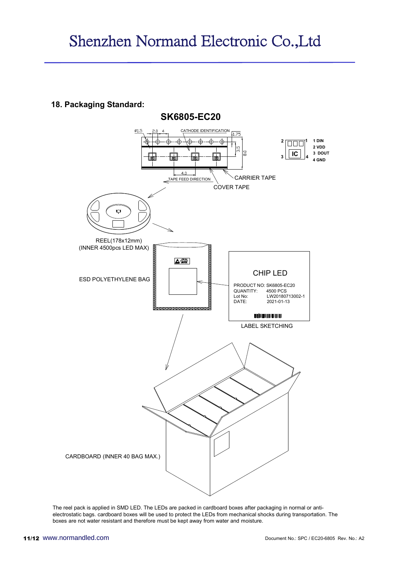18. Packaging Standard:



The reel pack is applied in SMD LED. The LEDs are packed in cardboard boxes after packaging in normal or antielectrostatic bags. cardboard boxes will be used to protect the LEDs from mechanical shocks during transportation. The boxes are not water resistant and therefore must be kept away from water and moisture.